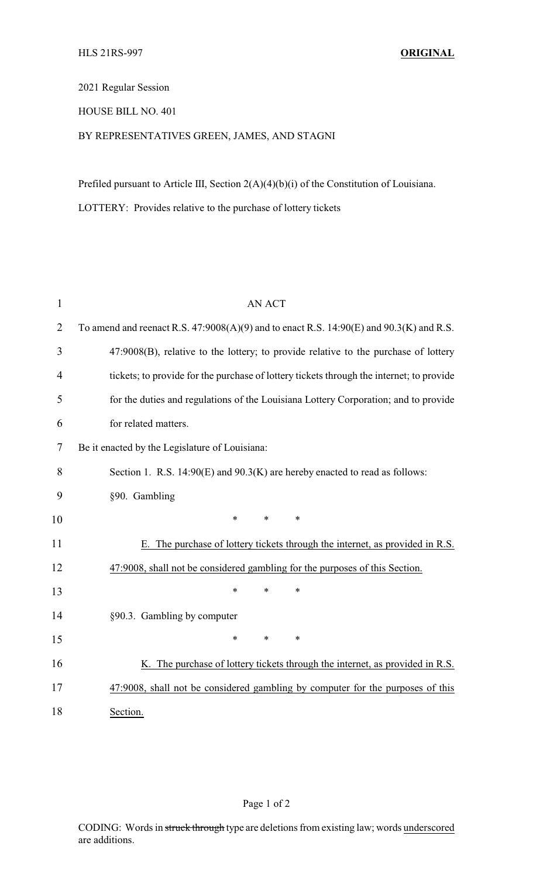## 2021 Regular Session

## HOUSE BILL NO. 401

## BY REPRESENTATIVES GREEN, JAMES, AND STAGNI

Prefiled pursuant to Article III, Section 2(A)(4)(b)(i) of the Constitution of Louisiana.

LOTTERY: Provides relative to the purchase of lottery tickets

| $\mathbf{1}$   | <b>AN ACT</b>                                                                                 |  |  |
|----------------|-----------------------------------------------------------------------------------------------|--|--|
| $\overline{2}$ | To amend and reenact R.S. $47:9008(A)(9)$ and to enact R.S. $14:90(E)$ and $90.3(K)$ and R.S. |  |  |
| 3              | 47:9008(B), relative to the lottery; to provide relative to the purchase of lottery           |  |  |
| $\overline{4}$ | tickets; to provide for the purchase of lottery tickets through the internet; to provide      |  |  |
| 5              | for the duties and regulations of the Louisiana Lottery Corporation; and to provide           |  |  |
| 6              | for related matters.                                                                          |  |  |
| 7              | Be it enacted by the Legislature of Louisiana:                                                |  |  |
| 8              | Section 1. R.S. $14:90(E)$ and $90.3(K)$ are hereby enacted to read as follows:               |  |  |
| 9              | §90. Gambling                                                                                 |  |  |
| 10             | $\ast$<br>$\ast$<br>$\ast$                                                                    |  |  |
| 11             | The purchase of lottery tickets through the internet, as provided in R.S.<br>Е.               |  |  |
| 12             | 47:9008, shall not be considered gambling for the purposes of this Section.                   |  |  |
| 13             | *<br>$\ast$<br>$\ast$                                                                         |  |  |
| 14             | §90.3. Gambling by computer                                                                   |  |  |
| 15             | $\ast$<br>$\ast$<br>$\ast$                                                                    |  |  |
| 16             | K. The purchase of lottery tickets through the internet, as provided in R.S.                  |  |  |
| 17             | 47:9008, shall not be considered gambling by computer for the purposes of this                |  |  |
| 18             | Section.                                                                                      |  |  |